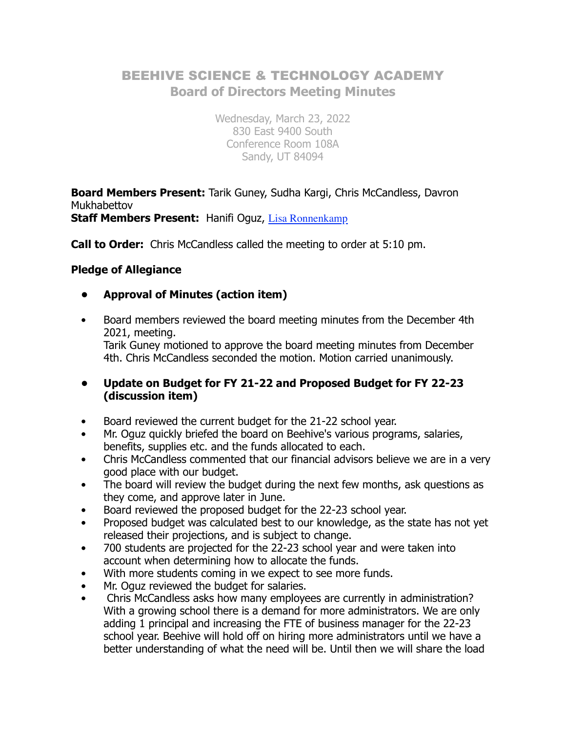# BEEHIVE SCIENCE & TECHNOLOGY ACADEMY **Board of Directors Meeting Minutes**

Wednesday, March 23, 2022 830 East 9400 South Conference Room 108A Sandy, UT 84094

**Board Members Present:** Tarik Guney, Sudha Kargi, Chris McCandless, Davron Mukhabettov

**Staff Members Present:** Hanifi Oguz, Lisa Ronnenkamp

**Call to Order:** Chris McCandless called the meeting to order at 5:10 pm.

## **Pledge of Allegiance**

- **Approval of Minutes (action item)**
- Board members reviewed the board meeting minutes from the December 4th 2021, meeting. Tarik Guney motioned to approve the board meeting minutes from December 4th. Chris McCandless seconded the motion. Motion carried unanimously.
- **Update on Budget for FY 21-22 and Proposed Budget for FY 22-23 (discussion item)**
- Board reviewed the current budget for the 21-22 school year.
- Mr. Oguz quickly briefed the board on Beehive's various programs, salaries, benefits, supplies etc. and the funds allocated to each.
- Chris McCandless commented that our financial advisors believe we are in a very good place with our budget.
- The board will review the budget during the next few months, ask questions as they come, and approve later in June.
- Board reviewed the proposed budget for the 22-23 school year.
- Proposed budget was calculated best to our knowledge, as the state has not yet released their projections, and is subject to change.
- 700 students are projected for the 22-23 school year and were taken into account when determining how to allocate the funds.
- With more students coming in we expect to see more funds.
- Mr. Oguz reviewed the budget for salaries.
- Chris McCandless asks how many employees are currently in administration? With a growing school there is a demand for more administrators. We are only adding 1 principal and increasing the FTE of business manager for the 22-23 school year. Beehive will hold off on hiring more administrators until we have a better understanding of what the need will be. Until then we will share the load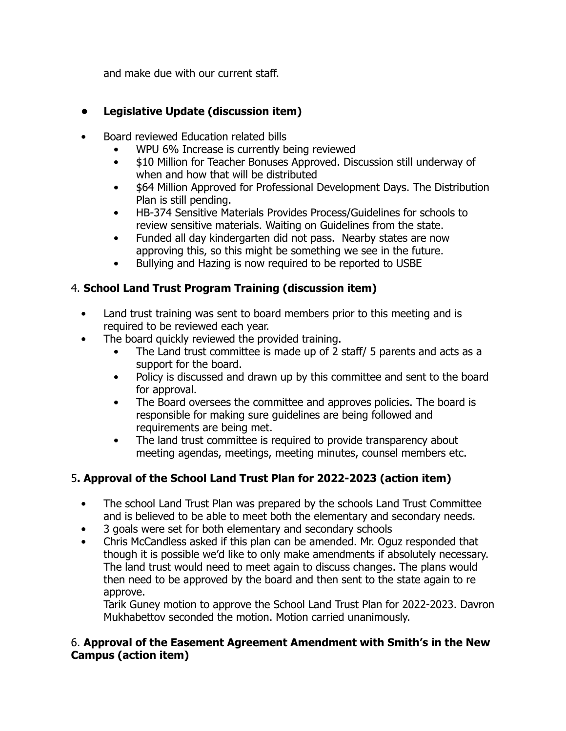and make due with our current staff.

# **• Legislative Update (discussion item)**

- Board reviewed Education related bills
	- WPU 6% Increase is currently being reviewed
	- \$10 Million for Teacher Bonuses Approved. Discussion still underway of when and how that will be distributed
	- \$64 Million Approved for Professional Development Days. The Distribution Plan is still pending.
	- HB-374 Sensitive Materials Provides Process/Guidelines for schools to review sensitive materials. Waiting on Guidelines from the state.
	- Funded all day kindergarten did not pass. Nearby states are now approving this, so this might be something we see in the future.
	- Bullying and Hazing is now required to be reported to USBE

# 4. **School Land Trust Program Training (discussion item)**

- Land trust training was sent to board members prior to this meeting and is required to be reviewed each year.
- The board quickly reviewed the provided training.
	- The Land trust committee is made up of 2 staff/ 5 parents and acts as a support for the board.
	- Policy is discussed and drawn up by this committee and sent to the board for approval.
	- The Board oversees the committee and approves policies. The board is responsible for making sure guidelines are being followed and requirements are being met.
	- The land trust committee is required to provide transparency about meeting agendas, meetings, meeting minutes, counsel members etc.

# 5**. Approval of the School Land Trust Plan for 2022-2023 (action item)**

- The school Land Trust Plan was prepared by the schools Land Trust Committee and is believed to be able to meet both the elementary and secondary needs.
- 3 goals were set for both elementary and secondary schools
- Chris McCandless asked if this plan can be amended. Mr. Oguz responded that though it is possible we'd like to only make amendments if absolutely necessary. The land trust would need to meet again to discuss changes. The plans would then need to be approved by the board and then sent to the state again to re approve.

Tarik Guney motion to approve the School Land Trust Plan for 2022-2023. Davron Mukhabettov seconded the motion. Motion carried unanimously.

## 6. **Approval of the Easement Agreement Amendment with Smith's in the New Campus (action item)**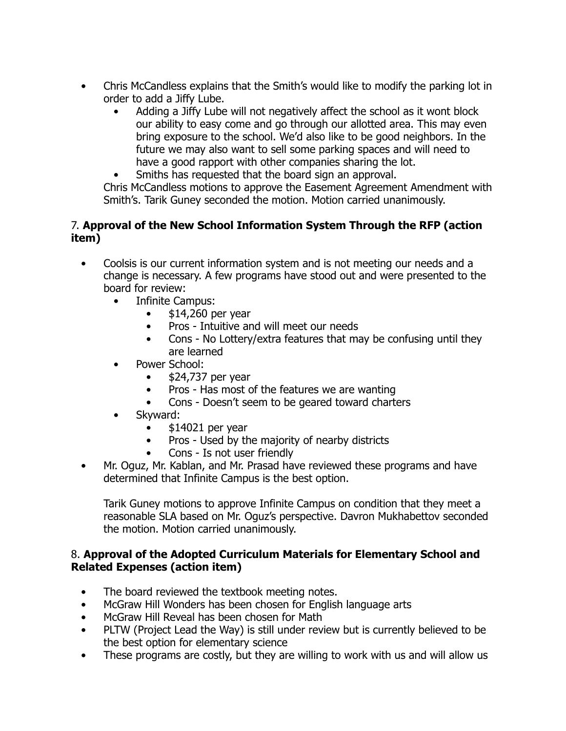- Chris McCandless explains that the Smith's would like to modify the parking lot in order to add a Jiffy Lube.
	- Adding a Jiffy Lube will not negatively affect the school as it wont block our ability to easy come and go through our allotted area. This may even bring exposure to the school. We'd also like to be good neighbors. In the future we may also want to sell some parking spaces and will need to have a good rapport with other companies sharing the lot.
	- Smiths has requested that the board sign an approval.

Chris McCandless motions to approve the Easement Agreement Amendment with Smith's. Tarik Guney seconded the motion. Motion carried unanimously.

#### 7. **Approval of the New School Information System Through the RFP (action item)**

- Coolsis is our current information system and is not meeting our needs and a change is necessary. A few programs have stood out and were presented to the board for review:
	- Infinite Campus:
		- $\bullet$  \$14,260 per year
		- Pros Intuitive and will meet our needs
		- Cons No Lottery/extra features that may be confusing until they are learned
	- Power School:
		- $\bullet$  \$24,737 per year
		- Pros Has most of the features we are wanting
		- Cons Doesn't seem to be geared toward charters
	- Skyward:
		- \$14021 per year
		- Pros Used by the majority of nearby districts
		- Cons Is not user friendly
- Mr. Oguz, Mr. Kablan, and Mr. Prasad have reviewed these programs and have determined that Infinite Campus is the best option.

Tarik Guney motions to approve Infinite Campus on condition that they meet a reasonable SLA based on Mr. Oguz's perspective. Davron Mukhabettov seconded the motion. Motion carried unanimously.

#### 8. **Approval of the Adopted Curriculum Materials for Elementary School and Related Expenses (action item)**

- The board reviewed the textbook meeting notes.
- McGraw Hill Wonders has been chosen for English language arts
- McGraw Hill Reveal has been chosen for Math
- PLTW (Project Lead the Way) is still under review but is currently believed to be the best option for elementary science
- These programs are costly, but they are willing to work with us and will allow us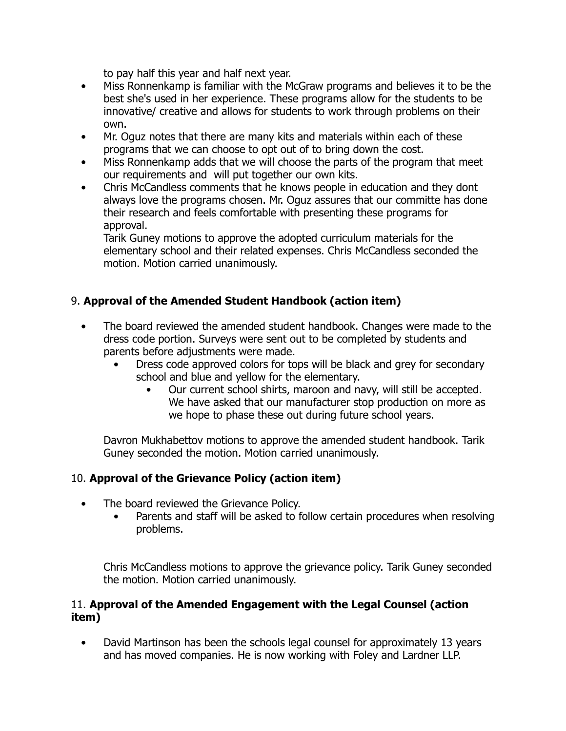to pay half this year and half next year.

- Miss Ronnenkamp is familiar with the McGraw programs and believes it to be the best she's used in her experience. These programs allow for the students to be innovative/ creative and allows for students to work through problems on their own.
- Mr. Oguz notes that there are many kits and materials within each of these programs that we can choose to opt out of to bring down the cost.
- Miss Ronnenkamp adds that we will choose the parts of the program that meet our requirements and will put together our own kits.
- Chris McCandless comments that he knows people in education and they dont always love the programs chosen. Mr. Oguz assures that our committe has done their research and feels comfortable with presenting these programs for approval.

Tarik Guney motions to approve the adopted curriculum materials for the elementary school and their related expenses. Chris McCandless seconded the motion. Motion carried unanimously.

# 9. **Approval of the Amended Student Handbook (action item)**

- The board reviewed the amended student handbook. Changes were made to the dress code portion. Surveys were sent out to be completed by students and parents before adjustments were made.
	- Dress code approved colors for tops will be black and grey for secondary school and blue and yellow for the elementary.
		- Our current school shirts, maroon and navy, will still be accepted. We have asked that our manufacturer stop production on more as we hope to phase these out during future school years.

Davron Mukhabettov motions to approve the amended student handbook. Tarik Guney seconded the motion. Motion carried unanimously.

## 10. **Approval of the Grievance Policy (action item)**

- The board reviewed the Grievance Policy.
	- Parents and staff will be asked to follow certain procedures when resolving problems.

Chris McCandless motions to approve the grievance policy. Tarik Guney seconded the motion. Motion carried unanimously.

#### 11. **Approval of the Amended Engagement with the Legal Counsel (action item)**

• David Martinson has been the schools legal counsel for approximately 13 years and has moved companies. He is now working with Foley and Lardner LLP.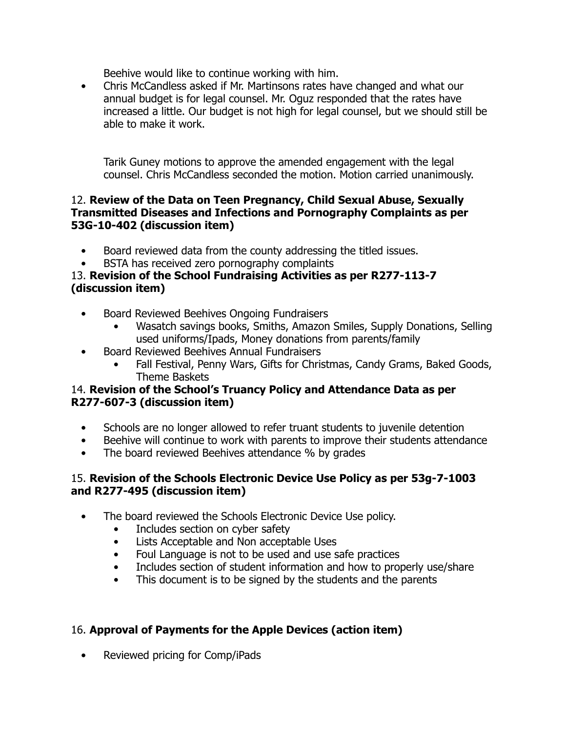Beehive would like to continue working with him.

• Chris McCandless asked if Mr. Martinsons rates have changed and what our annual budget is for legal counsel. Mr. Oguz responded that the rates have increased a little. Our budget is not high for legal counsel, but we should still be able to make it work.

Tarik Guney motions to approve the amended engagement with the legal counsel. Chris McCandless seconded the motion. Motion carried unanimously.

#### 12. **Review of the Data on Teen Pregnancy, Child Sexual Abuse, Sexually Transmitted Diseases and Infections and Pornography Complaints as per 53G-10-402 (discussion item)**

- Board reviewed data from the county addressing the titled issues.
- BSTA has received zero pornography complaints

#### 13. **Revision of the School Fundraising Activities as per R277-113-7 (discussion item)**

- Board Reviewed Beehives Ongoing Fundraisers
	- Wasatch savings books, Smiths, Amazon Smiles, Supply Donations, Selling used uniforms/Ipads, Money donations from parents/family
- Board Reviewed Beehives Annual Fundraisers
	- Fall Festival, Penny Wars, Gifts for Christmas, Candy Grams, Baked Goods, Theme Baskets

## 14. **Revision of the School's Truancy Policy and Attendance Data as per R277-607-3 (discussion item)**

- Schools are no longer allowed to refer truant students to juvenile detention
- Beehive will continue to work with parents to improve their students attendance
- The board reviewed Beehives attendance % by grades

## 15. **Revision of the Schools Electronic Device Use Policy as per 53g-7-1003 and R277-495 (discussion item)**

- The board reviewed the Schools Electronic Device Use policy.
	- Includes section on cyber safety
	- Lists Acceptable and Non acceptable Uses
	- Foul Language is not to be used and use safe practices
	- Includes section of student information and how to properly use/share
	- This document is to be signed by the students and the parents

## 16. **Approval of Payments for the Apple Devices (action item)**

• Reviewed pricing for Comp/iPads